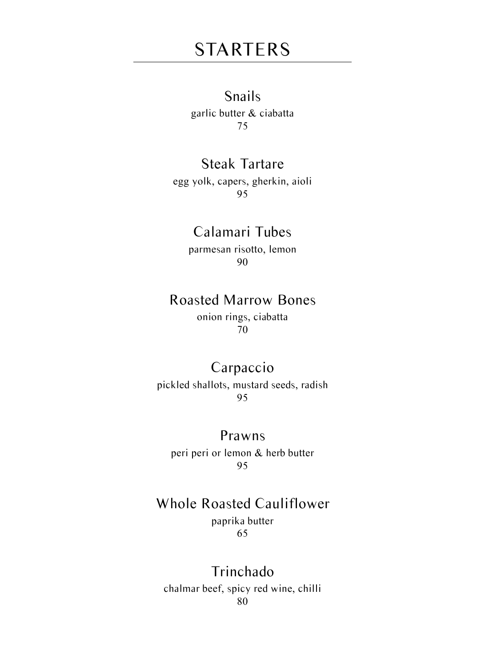# STARTERS

### Snails

garlic butter & ciabatta 75

### Steak Tartare

egg yolk, capers, gherkin, aioli 95

### Calamari Tubes

parmesan risotto, lemon 90

### Roasted Marrow Bones

onion rings, ciabatta 70

### Carpaccio

pickled shallots, mustard seeds, radish 95

#### Prawns

peri peri or lemon & herb butter 95

## Whole Roasted Cauliflower

paprika butter 65

#### Trinchado chalmar beef, spicy red wine, chilli 80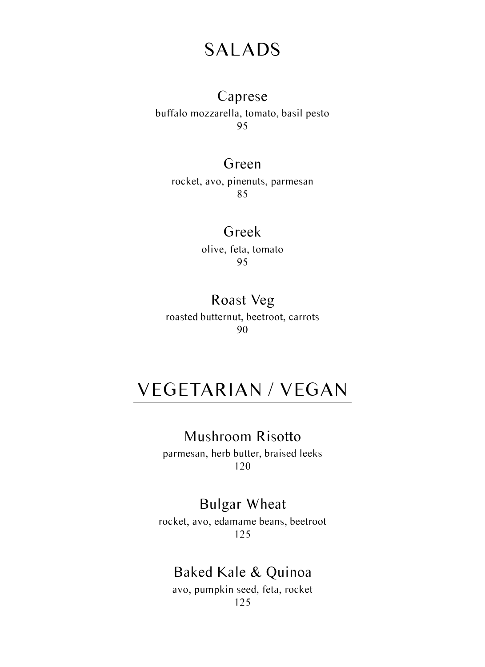#### Caprese

buffalo mozzarella, tomato, basil pesto 95

#### Green

rocket, avo, pinenuts, parmesan 85

#### Greek

olive, feta, tomato 95

#### Roast Veg roasted butternut, beetroot, carrots 90

# VEGETARIAN / VEGAN

### Mushroom Risotto

parmesan, herb butter, braised leeks 120

### Bulgar Wheat

rocket, avo, edamame beans, beetroot 125

### Baked Kale & Quinoa

avo, pumpkin seed, feta, rocket 125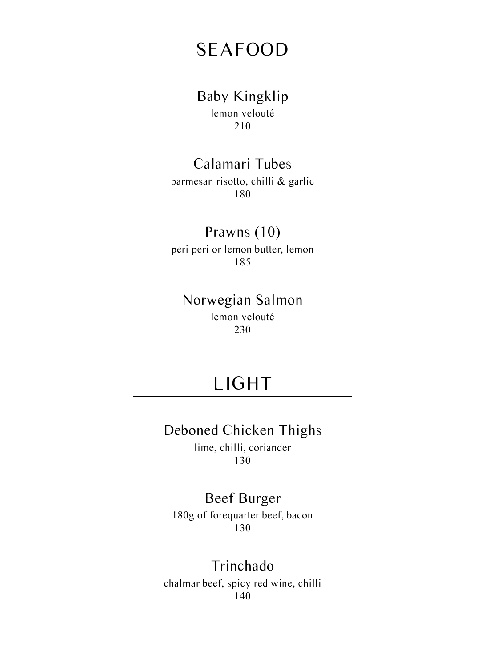#### Baby Kingklip

lemon velouté 210

## Calamari Tubes

parmesan risotto, chilli & garlic 180

### Prawns (10)

peri peri or lemon butter, lemon 185

### Norwegian Salmon

lemon velouté 230

# LIGHT

### Deboned Chicken Thighs

lime, chilli, coriander 130

## Beef Burger

180g of forequarter beef, bacon 130

### Trinchado

chalmar beef, spicy red wine, chilli 140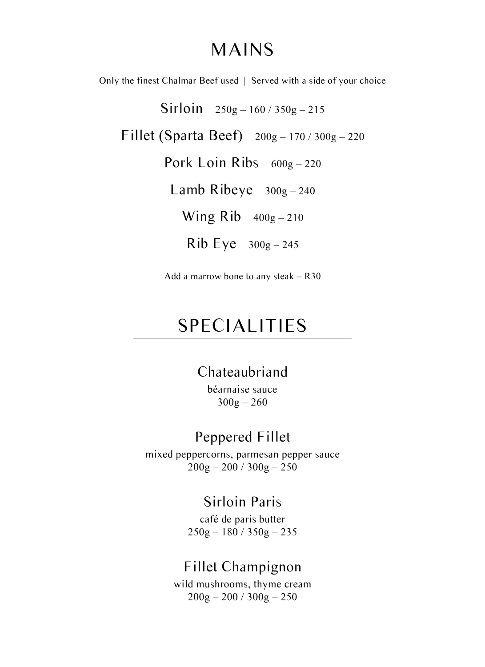## MAINS

Only the finest Chalmar Beef used | Served with a side of your choice

Sirloin 250g – 160 / 350g – 215

Fillet (Sparta Beef) 200g – 170 / 300g – 220

Pork Loin Ribs  $600g - 220$ 

Lamb Ribeye  $300g - 240$ 

Wing  $Rib$   $400g - 210$ 

 $Rib Eye 300g - 245$ 

Add a marrow bone to any steak – R30

# SPECIALITIES

### Chateaubriand

béarnaise sauce  $300g - 260$ 

### Peppered Fillet

mixed peppercorns, parmesan pepper sauce  $200g - 200 / 300g - 250$ 

### Sirloin Paris

café de paris butter 250g – 180 / 350g – 235

### Fillet Champignon

wild mushrooms, thyme cream  $200g - 200 / 300g - 250$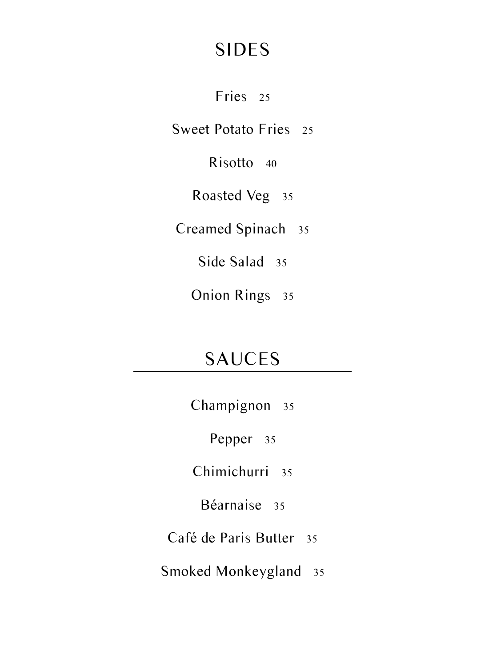# SIDES

Fries 25

Sweet Potato Fries 25

Risotto 40

Roasted Veg 35

Creamed Spinach 35

Side Salad 35

Onion Rings 35

# SAUCES

Champignon 35

Pepper 35

Chimichurri 35

Béarnaise 35

Café de Paris Butter 35

Smoked Monkeygland 35